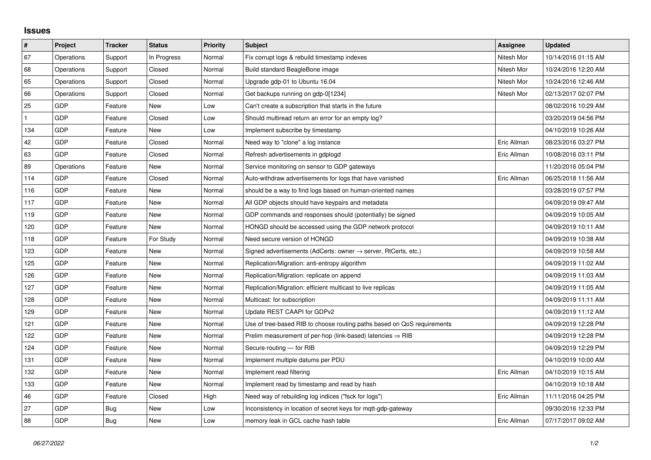## **Issues**

| $\vert$ #    | Project    | <b>Tracker</b> | <b>Status</b> | <b>Priority</b> | <b>Subject</b>                                                             | <b>Assignee</b> | <b>Updated</b>      |
|--------------|------------|----------------|---------------|-----------------|----------------------------------------------------------------------------|-----------------|---------------------|
| 67           | Operations | Support        | In Progress   | Normal          | Fix corrupt logs & rebuild timestamp indexes                               | Nitesh Mor      | 10/14/2016 01:15 AM |
| 68           | Operations | Support        | Closed        | Normal          | Build standard BeagleBone image                                            | Nitesh Mor      | 10/24/2016 12:20 AM |
| 65           | Operations | Support        | Closed        | Normal          | Upgrade gdp-01 to Ubuntu 16.04                                             | Nitesh Mor      | 10/24/2016 12:46 AM |
| 66           | Operations | Support        | Closed        | Normal          | Get backups running on gdp-0[1234]                                         | Nitesh Mor      | 02/13/2017 02:07 PM |
| 25           | <b>GDP</b> | Feature        | New           | Low             | Can't create a subscription that starts in the future                      |                 | 08/02/2016 10:29 AM |
| $\mathbf{1}$ | <b>GDP</b> | Feature        | Closed        | Low             | Should multiread return an error for an empty log?                         |                 | 03/20/2019 04:56 PM |
| 134          | GDP        | Feature        | New           | Low             | Implement subscribe by timestamp                                           |                 | 04/10/2019 10:26 AM |
| 42           | GDP        | Feature        | Closed        | Normal          | Need way to "clone" a log instance                                         | Eric Allman     | 08/23/2016 03:27 PM |
| 63           | GDP        | Feature        | Closed        | Normal          | Refresh advertisements in gdplogd                                          | Eric Allman     | 10/08/2016 03:11 PM |
| 89           | Operations | Feature        | New           | Normal          | Service monitoring on sensor to GDP gateways                               |                 | 11/20/2016 05:04 PM |
| 114          | <b>GDP</b> | Feature        | Closed        | Normal          | Auto-withdraw advertisements for logs that have vanished                   | Eric Allman     | 06/25/2018 11:56 AM |
| 116          | <b>GDP</b> | Feature        | New           | Normal          | should be a way to find logs based on human-oriented names                 |                 | 03/28/2019 07:57 PM |
| 117          | GDP        | Feature        | New           | Normal          | All GDP objects should have keypairs and metadata                          |                 | 04/09/2019 09:47 AM |
| 119          | <b>GDP</b> | Feature        | New           | Normal          | GDP commands and responses should (potentially) be signed                  |                 | 04/09/2019 10:05 AM |
| 120          | GDP        | Feature        | New           | Normal          | HONGD should be accessed using the GDP network protocol                    |                 | 04/09/2019 10:11 AM |
| 118          | GDP        | Feature        | For Study     | Normal          | Need secure version of HONGD                                               |                 | 04/09/2019 10:38 AM |
| 123          | <b>GDP</b> | Feature        | New           | Normal          | Signed advertisements (AdCerts: owner $\rightarrow$ server, RtCerts, etc.) |                 | 04/09/2019 10:58 AM |
| 125          | <b>GDP</b> | Feature        | New           | Normal          | Replication/Migration: anti-entropy algorithm                              |                 | 04/09/2019 11:02 AM |
| 126          | GDP        | Feature        | New           | Normal          | Replication/Migration: replicate on append                                 |                 | 04/09/2019 11:03 AM |
| 127          | GDP        | Feature        | New           | Normal          | Replication/Migration: efficient multicast to live replicas                |                 | 04/09/2019 11:05 AM |
| 128          | GDP        | Feature        | New           | Normal          | Multicast: for subscription                                                |                 | 04/09/2019 11:11 AM |
| 129          | GDP        | Feature        | New           | Normal          | Update REST CAAPI for GDPv2                                                |                 | 04/09/2019 11:12 AM |
| 121          | GDP        | Feature        | <b>New</b>    | Normal          | Use of tree-based RIB to choose routing paths based on QoS requirements    |                 | 04/09/2019 12:28 PM |
| 122          | GDP        | Feature        | New           | Normal          | Prelim measurement of per-hop (link-based) latencies $\Rightarrow$ RIB     |                 | 04/09/2019 12:28 PM |
| 124          | <b>GDP</b> | Feature        | New           | Normal          | Secure-routing - for RIB                                                   |                 | 04/09/2019 12:29 PM |
| 131          | GDP        | Feature        | <b>New</b>    | Normal          | Implement multiple datums per PDU                                          |                 | 04/10/2019 10:00 AM |
| 132          | GDP        | Feature        | New           | Normal          | Implement read filtering                                                   | Eric Allman     | 04/10/2019 10:15 AM |
| 133          | <b>GDP</b> | Feature        | New           | Normal          | Implement read by timestamp and read by hash                               |                 | 04/10/2019 10:18 AM |
| 46           | GDP        | Feature        | Closed        | High            | Need way of rebuilding log indices ("fsck for logs")                       | Eric Allman     | 11/11/2016 04:25 PM |
| 27           | GDP        | Bug            | New           | Low             | Inconsistency in location of secret keys for mgtt-gdp-gateway              |                 | 09/30/2016 12:33 PM |
| 88           | GDP        | Bug            | New           | Low             | memory leak in GCL cache hash table                                        | Eric Allman     | 07/17/2017 09:02 AM |